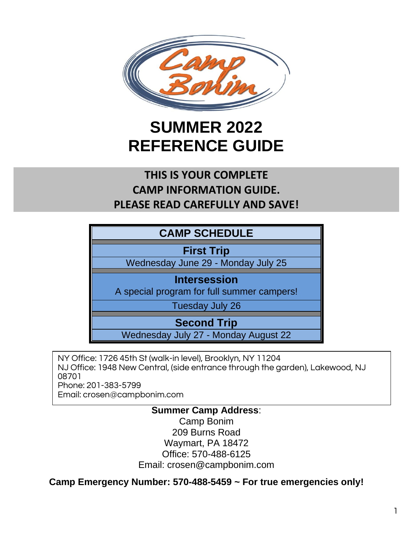

# **SUMMER 2022 REFERENCE GUIDE**

# **THIS IS YOUR COMPLETE CAMP INFORMATION GUIDE. PLEASE READ CAREFULLY AND SAVE!**

**First Trip** 

Wednesday June 29 - Monday July 25

#### **Intersession**

A special program for full summer campers!

Tuesday July 26

**Second Trip**

Wednesday July 27 - Monday August 22

NY Office: 1726 45th St (walk-in level), Brooklyn, NY 11204 NJ Office: 1948 New Central, (side entrance through the garden), Lakewood, NJ 08701 Phone: 201-383-5799 Email: crosen@campbonim.com

#### **Summer Camp Address**:

Camp Bonim 209 Burns Road Waymart, PA 18472 Office: 570-488-6125 Email: crosen@campbonim.com

**Camp Emergency Number: 570-488-5459 ~ For true emergencies only!**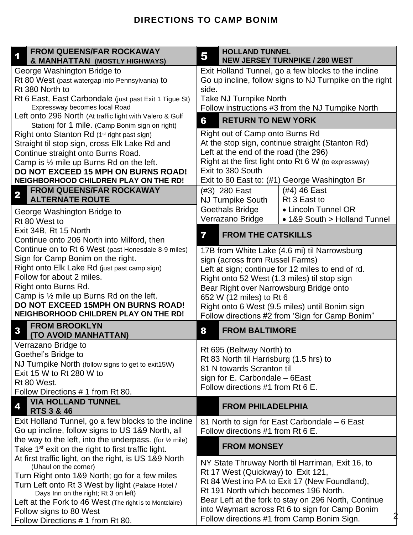#### **DIRECTIONS TO CAMP BONIM**

| <b>FROM QUEENS/FAR ROCKAWAY</b><br>& MANHATTAN (MOSTLY HIGHWAYS)                                            | <b>HOLLAND TUNNEL</b><br>5<br><b>NEW JERSEY TURNPIKE / 280 WEST</b>      |                                               |                                                      |  |  |
|-------------------------------------------------------------------------------------------------------------|--------------------------------------------------------------------------|-----------------------------------------------|------------------------------------------------------|--|--|
| George Washington Bridge to                                                                                 | Exit Holland Tunnel, go a few blocks to the incline                      |                                               |                                                      |  |  |
| Rt 80 West (past watergap into Pennsylvania) to                                                             | Go up incline, follow signs to NJ Turnpike on the right                  |                                               |                                                      |  |  |
| Rt 380 North to                                                                                             | side.                                                                    |                                               |                                                      |  |  |
| Rt 6 East, East Carbondale (just past Exit 1 Tigue St)                                                      | <b>Take NJ Turnpike North</b>                                            |                                               |                                                      |  |  |
| Expressway becomes local Road                                                                               | Follow instructions #3 from the NJ Turnpike North                        |                                               |                                                      |  |  |
| Left onto 296 North (At traffic light with Valero & Gulf<br>Station) for 1 mile. (Camp Bonim sign on right) | 6<br><b>RETURN TO NEW YORK</b>                                           |                                               |                                                      |  |  |
| Right onto Stanton Rd (1 <sup>st</sup> right past sign)                                                     |                                                                          | Right out of Camp onto Burns Rd               |                                                      |  |  |
| Straight til stop sign, cross Elk Lake Rd and                                                               | At the stop sign, continue straight (Stanton Rd)                         |                                               |                                                      |  |  |
| Continue straight onto Burns Road.                                                                          | Left at the end of the road (the 296)                                    |                                               |                                                      |  |  |
| Camp is $\frac{1}{2}$ mile up Burns Rd on the left.                                                         | Right at the first light onto Rt 6 W (to expressway)                     |                                               |                                                      |  |  |
| <b>DO NOT EXCEED 15 MPH ON BURNS ROAD!</b>                                                                  | Exit to 380 South                                                        |                                               |                                                      |  |  |
| NEIGHBORHOOD CHILDREN PLAY ON THE RD!                                                                       | Exit to 80 East to: (#1) George Washington Br                            |                                               |                                                      |  |  |
| <b>FROM QUEENS/FAR ROCKAWAY</b><br>$\overline{\mathbf{2}}$                                                  |                                                                          | (#3) 280 East                                 | (#4) 46 East                                         |  |  |
| <b>ALTERNATE ROUTE</b>                                                                                      |                                                                          | <b>NJ Turnpike South</b>                      | Rt 3 East to                                         |  |  |
| George Washington Bridge to                                                                                 |                                                                          | <b>Goethals Bridge</b>                        | • Lincoln Tunnel OR                                  |  |  |
| Rt 80 West to                                                                                               |                                                                          | Verrazano Bridge                              | • 1&9 South > Holland Tunnel                         |  |  |
| Exit 34B, Rt 15 North<br>Continue onto 206 North into Milford, then                                         | 7                                                                        | <b>FROM THE CATSKILLS</b>                     |                                                      |  |  |
| Continue on to Rt 6 West (past Honesdale 8-9 miles)                                                         | 17B from White Lake (4.6 mi) til Narrowsburg                             |                                               |                                                      |  |  |
| Sign for Camp Bonim on the right.                                                                           |                                                                          | sign (across from Russel Farms)               |                                                      |  |  |
| Right onto Elk Lake Rd (just past camp sign)                                                                | Left at sign; continue for 12 miles to end of rd.                        |                                               |                                                      |  |  |
| Follow for about 2 miles.                                                                                   | Right onto 52 West (1.3 miles) til stop sign                             |                                               |                                                      |  |  |
| Right onto Burns Rd.                                                                                        | Bear Right over Narrowsburg Bridge onto                                  |                                               |                                                      |  |  |
| Camp is $\frac{1}{2}$ mile up Burns Rd on the left.                                                         | 652 W (12 miles) to Rt 6                                                 |                                               |                                                      |  |  |
| DO NOT EXCEED 15MPH ON BURNS ROAD!                                                                          | Right onto 6 West (9.5 miles) until Bonim sign                           |                                               |                                                      |  |  |
| NEIGHBORHOOD CHILDREN PLAY ON THE RD!                                                                       | Follow directions #2 from 'Sign for Camp Bonim"                          |                                               |                                                      |  |  |
| <b>FROM BROOKLYN</b><br>$\mathbf{3}$<br>(TO AVOID MANHATTAN)                                                | 8                                                                        | <b>FROM BALTIMORE</b>                         |                                                      |  |  |
| Verrazano Bridge to                                                                                         |                                                                          | Rt 695 (Beltway North) to                     |                                                      |  |  |
| Goethel's Bridge to                                                                                         |                                                                          |                                               |                                                      |  |  |
| NJ Turnpike North (follow signs to get to exit15W)                                                          | Rt 83 North til Harrisburg (1.5 hrs) to<br>81 N towards Scranton til     |                                               |                                                      |  |  |
| Exit 15 W to Rt 280 W to                                                                                    |                                                                          |                                               |                                                      |  |  |
| Rt 80 West.                                                                                                 | sign for $E$ . Carbondale $-6E$ ast<br>Follow directions #1 from Rt 6 E. |                                               |                                                      |  |  |
| Follow Directions #1 from Rt 80.                                                                            |                                                                          |                                               |                                                      |  |  |
| <b>VIA HOLLAND TUNNEL</b><br><b>RTS 3 &amp; 46</b>                                                          |                                                                          | <b>FROM PHILADELPHIA</b>                      |                                                      |  |  |
| Exit Holland Tunnel, go a few blocks to the incline                                                         |                                                                          | 81 North to sign for East Carbondale – 6 East |                                                      |  |  |
| Go up incline, follow signs to US 1&9 North, all                                                            |                                                                          | Follow directions #1 from Rt 6 E.             |                                                      |  |  |
| the way to the left, into the underpass. (for $\frac{1}{2}$ mile)                                           | <b>FROM MONSEY</b>                                                       |                                               |                                                      |  |  |
| Take 1 <sup>st</sup> exit on the right to first traffic light.                                              |                                                                          |                                               |                                                      |  |  |
| At first traffic light, on the right, is US 1&9 North<br>(Uhaul on the corner)                              |                                                                          |                                               | NY State Thruway North til Harriman, Exit 16, to     |  |  |
| Turn Right onto 1&9 North; go for a few miles                                                               |                                                                          | Rt 17 West (Quickway) to Exit 121,            |                                                      |  |  |
| Turn Left onto Rt 3 West by light (Palace Hotel /                                                           | Rt 84 West ino PA to Exit 17 (New Foundland),                            |                                               |                                                      |  |  |
| Days Inn on the right; Rt 3 on left)                                                                        |                                                                          |                                               | Rt 191 North which becomes 196 North.                |  |  |
| Left at the Fork to 46 West (The right is to Montclaire)                                                    |                                                                          |                                               | Bear Left at the fork to stay on 296 North, Continue |  |  |
| Follow signs to 80 West                                                                                     | into Waymart across Rt 6 to sign for Camp Bonim                          |                                               |                                                      |  |  |
| Follow Directions #1 from Rt 80.                                                                            | Follow directions #1 from Camp Bonim Sign.                               |                                               |                                                      |  |  |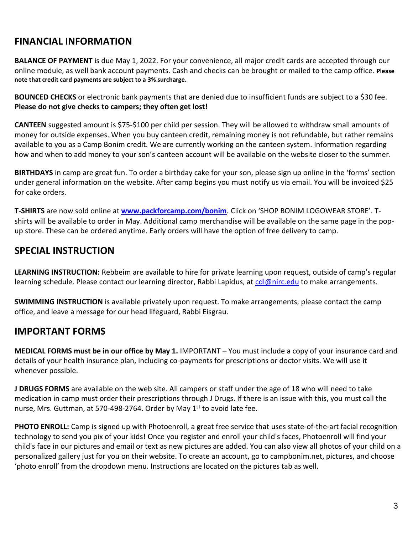## **FINANCIAL INFORMATION**

**BALANCE OF PAYMENT** is due May 1, 2022. For your convenience, all major credit cards are accepted through our online module, as well bank account payments. Cash and checks can be brought or mailed to the camp office. **Please note that credit card payments are subject to a 3% surcharge.**

**BOUNCED CHECKS** or electronic bank payments that are denied due to insufficient funds are subject to a \$30 fee. **Please do not give checks to campers; they often get lost!**

**CANTEEN** suggested amount is \$75-\$100 per child per session. They will be allowed to withdraw small amounts of money for outside expenses. When you buy canteen credit, remaining money is not refundable, but rather remains available to you as a Camp Bonim credit. We are currently working on the canteen system. Information regarding how and when to add money to your son's canteen account will be available on the website closer to the summer.

**BIRTHDAYS** in camp are great fun. To order a birthday cake for your son, please sign up online in the 'forms' section under general information on the website. After camp begins you must notify us via email. You will be invoiced \$25 for cake orders.

**T-SHIRTS** are now sold online at **[www.packforcamp.com/bonim](http://www.packforcamp.com/bonim)**. Click on 'SHOP BONIM LOGOWEAR STORE'. Tshirts will be available to order in May. Additional camp merchandise will be available on the same page in the popup store. These can be ordered anytime. Early orders will have the option of free delivery to camp.

#### **SPECIAL INSTRUCTION**

**LEARNING INSTRUCTION:** Rebbeim are available to hire for private learning upon request, outside of camp's regular learning schedule. Please contact our learning director, Rabbi Lapidus, at [cdl@nirc.edu](mailto:cdl@nirc.edu) to make arrangements.

**SWIMMING INSTRUCTION** is available privately upon request. To make arrangements, please contact the camp office, and leave a message for our head lifeguard, Rabbi Eisgrau.

## **IMPORTANT FORMS**

**MEDICAL FORMS must be in our office by May 1.** IMPORTANT – You must include a copy of your insurance card and details of your health insurance plan, including co-payments for prescriptions or doctor visits. We will use it whenever possible.

**J DRUGS FORMS** are available on the web site. All campers or staff under the age of 18 who will need to take medication in camp must order their prescriptions through J Drugs. If there is an issue with this, you must call the nurse, Mrs. Guttman, at 570-498-2764. Order by May 1<sup>st</sup> to avoid late fee.

**PHOTO ENROLL:** Camp is signed up with Photoenroll, a great free service that uses state-of-the-art facial recognition technology to send you pix of your kids! Once you register and enroll your child's faces, Photoenroll will find your child's face in our pictures and email or text as new pictures are added. You can also view all photos of your child on a personalized gallery just for you on their website. To create an account, go to campbonim.net, pictures, and choose 'photo enroll' from the dropdown menu. Instructions are located on the pictures tab as well.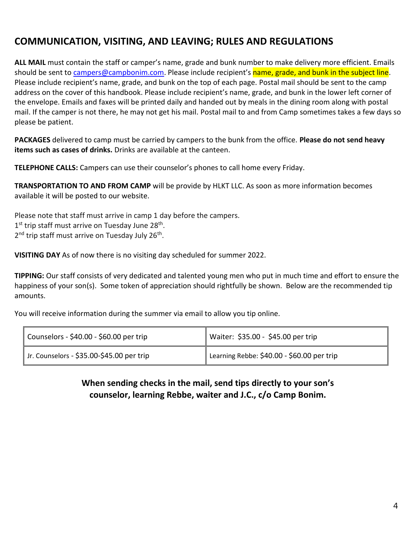## **COMMUNICATION, VISITING, AND LEAVING; RULES AND REGULATIONS**

**ALL MAIL** must contain the staff or camper's name, grade and bunk number to make delivery more efficient. Emails should be sent t[o campers@campbonim.com.](mailto:campers@campbonim.com) Please include recipient's name, grade, and bunk in the subject line. Please include recipient's name, grade, and bunk on the top of each page. Postal mail should be sent to the camp address on the cover of this handbook. Please include recipient's name, grade, and bunk in the lower left corner of the envelope. Emails and faxes will be printed daily and handed out by meals in the dining room along with postal mail. If the camper is not there, he may not get his mail. Postal mail to and from Camp sometimes takes a few days so please be patient.

**PACKAGES** delivered to camp must be carried by campers to the bunk from the office. **Please do not send heavy items such as cases of drinks.** Drinks are available at the canteen.

**TELEPHONE CALLS:** Campers can use their counselor's phones to call home every Friday.

**TRANSPORTATION TO AND FROM CAMP** will be provide by HLKT LLC. As soon as more information becomes available it will be posted to our website.

Please note that staff must arrive in camp 1 day before the campers. 1<sup>st</sup> trip staff must arrive on Tuesday June 28<sup>th</sup>. 2<sup>nd</sup> trip staff must arrive on Tuesday July 26<sup>th</sup>.

**VISITING DAY** As of now there is no visiting day scheduled for summer 2022.

**TIPPING:** Our staff consists of very dedicated and talented young men who put in much time and effort to ensure the happiness of your son(s). Some token of appreciation should rightfully be shown. Below are the recommended tip amounts.

You will receive information during the summer via email to allow you tip online.

| Counselors - \$40.00 - \$60.00 per trip     | Waiter: \$35.00 - \$45.00 per trip         |  |
|---------------------------------------------|--------------------------------------------|--|
| ∥ Jr. Counselors - \$35.00-\$45.00 per trip | Learning Rebbe: \$40.00 - \$60.00 per trip |  |

#### **When sending checks in the mail, send tips directly to your son's counselor, learning Rebbe, waiter and J.C., c/o Camp Bonim.**